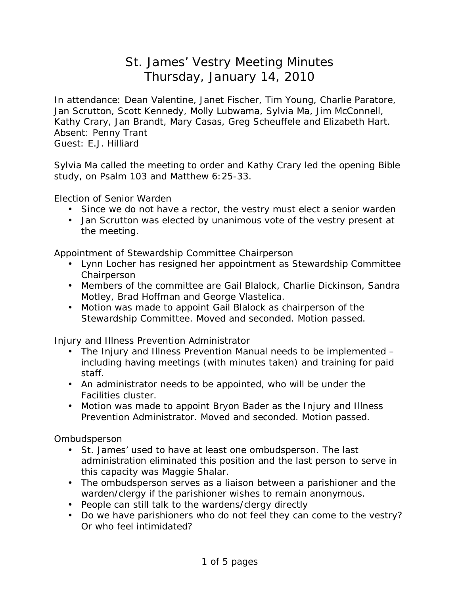## St. James' Vestry Meeting Minutes Thursday, January 14, 2010

In attendance: Dean Valentine, Janet Fischer, Tim Young, Charlie Paratore, Jan Scrutton, Scott Kennedy, Molly Lubwama, Sylvia Ma, Jim McConnell, Kathy Crary, Jan Brandt, Mary Casas, Greg Scheuffele and Elizabeth Hart. Absent: Penny Trant Guest: E.J. Hilliard

Sylvia Ma called the meeting to order and Kathy Crary led the opening Bible study, on Psalm 103 and Matthew 6:25-33.

Election of Senior Warden

- Since we do not have a rector, the vestry must elect a senior warden
- Jan Scrutton was elected by unanimous vote of the vestry present at the meeting.

Appointment of Stewardship Committee Chairperson

- Lynn Locher has resigned her appointment as Stewardship Committee Chairperson
- Members of the committee are Gail Blalock, Charlie Dickinson, Sandra Motley, Brad Hoffman and George Vlastelica.
- Motion was made to appoint Gail Blalock as chairperson of the Stewardship Committee. Moved and seconded. Motion passed.

Injury and Illness Prevention Administrator

- The Injury and Illness Prevention Manual needs to be implemented including having meetings (with minutes taken) and training for paid staff.
- An administrator needs to be appointed, who will be under the Facilities cluster.
- Motion was made to appoint Bryon Bader as the Injury and Illness Prevention Administrator. Moved and seconded. Motion passed.

Ombudsperson

- St. James' used to have at least one ombudsperson. The last administration eliminated this position and the last person to serve in this capacity was Maggie Shalar.
- The ombudsperson serves as a liaison between a parishioner and the warden/clergy if the parishioner wishes to remain anonymous.
- People can still talk to the wardens/clergy directly
- Do we have parishioners who do not feel they can come to the vestry? Or who feel intimidated?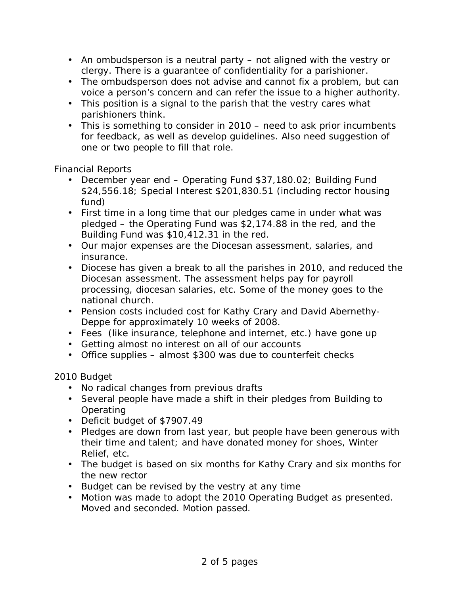- An ombudsperson is a neutral party not aligned with the vestry or clergy. There is a guarantee of confidentiality for a parishioner.
- The ombudsperson does not advise and cannot fix a problem, but can voice a person's concern and can refer the issue to a higher authority.
- This position is a signal to the parish that the vestry cares what parishioners think.
- This is something to consider in 2010 need to ask prior incumbents for feedback, as well as develop guidelines. Also need suggestion of one or two people to fill that role.

Financial Reports

- December year end Operating Fund \$37,180.02; Building Fund \$24,556.18; Special Interest \$201,830.51 (including rector housing fund)
- First time in a long time that our pledges came in under what was pledged – the Operating Fund was \$2,174.88 in the red, and the Building Fund was \$10,412.31 in the red.
- Our major expenses are the Diocesan assessment, salaries, and insurance.
- Diocese has given a break to all the parishes in 2010, and reduced the Diocesan assessment. The assessment helps pay for payroll processing, diocesan salaries, etc. Some of the money goes to the national church.
- Pension costs included cost for Kathy Crary and David Abernethy-Deppe for approximately 10 weeks of 2008.
- Fees (like insurance, telephone and internet, etc.) have gone up
- Getting almost no interest on all of our accounts
- Office supplies almost \$300 was due to counterfeit checks

2010 Budget

- No radical changes from previous drafts
- Several people have made a shift in their pledges from Building to **Operating**
- Deficit budget of \$7907.49
- Pledges are down from last year, but people have been generous with their time and talent; and have donated money for shoes, Winter Relief, etc.
- The budget is based on six months for Kathy Crary and six months for the new rector
- Budget can be revised by the vestry at any time
- Motion was made to adopt the 2010 Operating Budget as presented. Moved and seconded. Motion passed.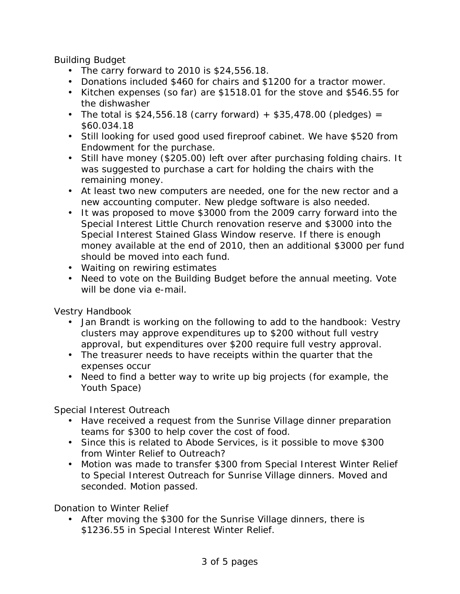Building Budget

- The carry forward to 2010 is \$24,556.18.
- Donations included \$460 for chairs and \$1200 for a tractor mower.
- Kitchen expenses (so far) are \$1518.01 for the stove and \$546.55 for the dishwasher
- The total is  $$24,556.18$  (carry forward) +  $$35,478.00$  (pledges) = \$60.034.18
- Still looking for used good used fireproof cabinet. We have \$520 from Endowment for the purchase.
- Still have money (\$205.00) left over after purchasing folding chairs. It was suggested to purchase a cart for holding the chairs with the remaining money.
- At least two new computers are needed, one for the new rector and a new accounting computer. New pledge software is also needed.
- It was proposed to move \$3000 from the 2009 carry forward into the Special Interest Little Church renovation reserve and \$3000 into the Special Interest Stained Glass Window reserve. If there is enough money available at the end of 2010, then an additional \$3000 per fund should be moved into each fund.
- Waiting on rewiring estimates
- Need to vote on the Building Budget before the annual meeting. Vote will be done via e-mail.

Vestry Handbook

- Jan Brandt is working on the following to add to the handbook: Vestry clusters may approve expenditures up to \$200 without full vestry approval, but expenditures over \$200 require full vestry approval.
- The treasurer needs to have receipts within the quarter that the expenses occur
- Need to find a better way to write up big projects (for example, the Youth Space)

Special Interest Outreach

- Have received a request from the Sunrise Village dinner preparation teams for \$300 to help cover the cost of food.
- Since this is related to Abode Services, is it possible to move \$300 from Winter Relief to Outreach?
- Motion was made to transfer \$300 from Special Interest Winter Relief to Special Interest Outreach for Sunrise Village dinners. Moved and seconded. Motion passed.

Donation to Winter Relief

• After moving the \$300 for the Sunrise Village dinners, there is \$1236.55 in Special Interest Winter Relief.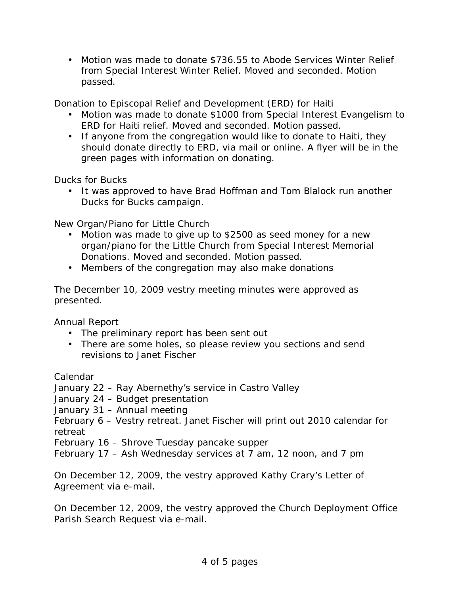• Motion was made to donate \$736.55 to Abode Services Winter Relief from Special Interest Winter Relief. Moved and seconded. Motion passed.

Donation to Episcopal Relief and Development (ERD) for Haiti

- Motion was made to donate \$1000 from Special Interest Evangelism to ERD for Haiti relief. Moved and seconded. Motion passed.
- If anyone from the congregation would like to donate to Haiti, they should donate directly to ERD, via mail or online. A flyer will be in the green pages with information on donating.

Ducks for Bucks

• It was approved to have Brad Hoffman and Tom Blalock run another Ducks for Bucks campaign.

New Organ/Piano for Little Church

- Motion was made to give up to \$2500 as seed money for a new organ/piano for the Little Church from Special Interest Memorial Donations. Moved and seconded. Motion passed.
- Members of the congregation may also make donations

The December 10, 2009 vestry meeting minutes were approved as presented.

Annual Report

- The preliminary report has been sent out
- There are some holes, so please review you sections and send revisions to Janet Fischer

Calendar

January 22 – Ray Abernethy's service in Castro Valley

January 24 – Budget presentation

January 31 – Annual meeting

February 6 – Vestry retreat. Janet Fischer will print out 2010 calendar for retreat

February 16 – Shrove Tuesday pancake supper

February 17 – Ash Wednesday services at 7 am, 12 noon, and 7 pm

On December 12, 2009, the vestry approved Kathy Crary's Letter of Agreement via e-mail.

On December 12, 2009, the vestry approved the Church Deployment Office Parish Search Request via e-mail.